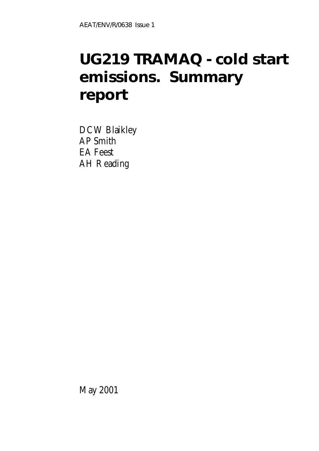# **UG219 TRAMAQ - cold start emissions. Summary report**

DCW Blaikley AP Smith EA Feest AH Reading

May 2001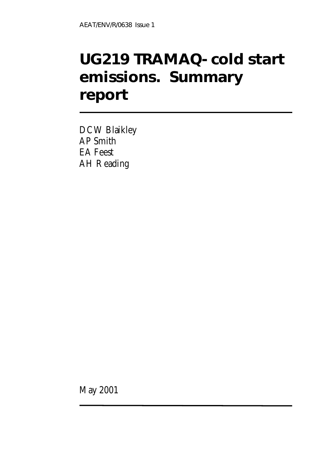# **UG219 TRAMAQ- cold start emissions. Summary report**

DCW Blaikley AP Smith EA Feest AH Reading

May 2001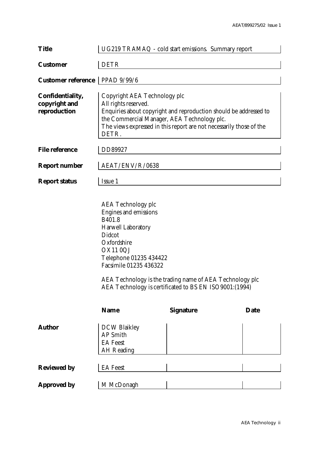| <b>Title</b>                                      | UG219 TRAMAQ - cold start emissions. Summary report                                                                                                                        |                                                                                                                                          |             |
|---------------------------------------------------|----------------------------------------------------------------------------------------------------------------------------------------------------------------------------|------------------------------------------------------------------------------------------------------------------------------------------|-------------|
| <b>Customer</b>                                   | <b>DETR</b>                                                                                                                                                                |                                                                                                                                          |             |
| <b>Customer reference</b>                         | PPAD 9/99/6                                                                                                                                                                |                                                                                                                                          |             |
| Confidentiality,<br>copyright and<br>reproduction | Copyright AEA Technology plc<br>All rights reserved.<br>the Commercial Manager, AEA Technology plc.<br>DETR.                                                               | Enquiries about copyright and reproduction should be addressed to<br>The views expressed in this report are not necessarily those of the |             |
| <b>File reference</b>                             | DD89927                                                                                                                                                                    |                                                                                                                                          |             |
| <b>Report number</b>                              | AEAT/ENV/R/0638                                                                                                                                                            |                                                                                                                                          |             |
| <b>Report status</b>                              | Issue 1                                                                                                                                                                    |                                                                                                                                          |             |
|                                                   | <b>AEA Technology plc</b><br>Engines and emissions<br>B401.8<br>Harwell Laboratory<br>Didcot<br>Oxfordshire<br>OX110QJ<br>Telephone 01235 434422<br>Facsimile 01235 436322 | AEA Technology is the trading name of AEA Technology plc<br>AEA Technology is certificated to BS EN ISO9001:(1994)                       |             |
|                                                   | <b>Name</b>                                                                                                                                                                | <b>Signature</b>                                                                                                                         | <b>Date</b> |
| <b>Author</b>                                     | <b>DCW Blaikley</b><br>AP Smith<br><b>EA</b> Feest<br><b>AH</b> Reading                                                                                                    |                                                                                                                                          |             |
| <b>Reviewed by</b>                                | <b>EA</b> Feest                                                                                                                                                            |                                                                                                                                          |             |
| <b>Approved by</b>                                | M McDonagh                                                                                                                                                                 |                                                                                                                                          |             |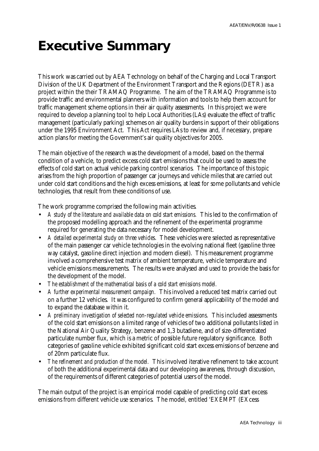# **Executive Summary**

This work was carried out by AEA Technology on behalf of the Charging and Local Transport Division of the UK Department of the Environment Transport and the Regions (DETR) as a project within the their TRAMAQ Programme. The aim of the TRAMAQ Programme is to provide traffic and environmental planners with information and tools to help them account for traffic management scheme options in their air quality assessments. In this project we were required to develop a planning tool to help Local Authorities (LAs) evaluate the effect of traffic management (particularly parking) schemes on air quality burdens in support of their obligations under the 1995 Environment Act. This Act requires LAs to review and, if necessary, prepare action plans for meeting the Government's air quality objectives for 2005.

The main objective of the research was the development of a model, based on the thermal condition of a vehicle, to predict excess cold start emissions that could be used to assess the effects of cold start on actual vehicle parking control scenarios. The importance of this topic arises from the high proportion of passenger car journeys and vehicle miles that are carried out under cold start conditions and the high excess emissions, at least for some pollutants and vehicle technologies, that result from these conditions of use.

The work programme comprised the following main activities.

- A *study of the literature and available data on cold start emissions.* This led to the confirmation of the proposed modelling approach and the refinement of the experimental programme required for generating the data necessary for model development.
- *A detailed experimental study on three vehicles*. These vehicles were selected as representative of the main passenger car vehicle technologies in the evolving national fleet (gasoline three way catalyst, gasoline direct injection and modern diesel). This measurement programme involved a comprehensive test matrix of ambient temperature, vehicle temperature and vehicle emissions measurements. The results were analysed and used to provide the basis for the development of the model.
- *The establishment of the mathematical basis of a cold start emissions model.*
- *A further experimental measurement campaign.* This involved a reduced test matrix carried out on a further 12 vehicles. It was configured to confirm general applicability of the model and to expand the database within it.
- A preliminary investigation of selected non-regulated vehicle emissions. This included assessments of the cold start emissions on a limited range of vehicles of two additional pollutants listed in the National Air Quality Strategy, benzene and 1,3 butadiene, and of size-differentiated particulate number flux, which is a metric of possible future regulatory significance. Both categories of gasoline vehicle exhibited significant cold start excess emissions of benzene and of 20nm particulate flux.
- *The refinement and production of the model.* This involved iterative refinement to take account of both the additional experimental data and our developing awareness, through discussion, of the requirements of different categories of potential users of the model.

The main output of the project is an empirical model capable of predicting cold start excess emissions from different vehicle use scenarios. The model, entitled 'EXEMPT (EXcess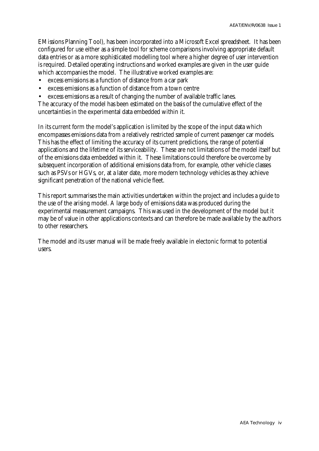EMissions Planning Tool), has been incorporated into a Microsoft Excel spreadsheet. It has been configured for use either as a simple tool for scheme comparisons involving appropriate default data entries or as a more sophisticated modelling tool where a higher degree of user intervention is required. Detailed operating instructions and worked examples are given in the user guide which accompanies the model. The illustrative worked examples are:

- excess emissions as a function of distance from a car park
- excess emissions as a function of distance from a town centre
- excess emissions as a result of changing the number of available traffic lanes.

The accuracy of the model has been estimated on the basis of the cumulative effect of the uncertainties in the experimental data embedded within it.

In its current form the model's application is limited by the scope of the input data which encompasses emissions data from a relatively restricted sample of current passenger car models. This has the effect of limiting the accuracy of its current predictions, the range of potential applications and the lifetime of its serviceability. These are not limitations of the model itself but of the emissions data embedded within it. These limitations could therefore be overcome by subsequent incorporation of additional emissions data from, for example, other vehicle classes such as PSVs or HGVs, or, at a later date, more modern technology vehicles as they achieve significant penetration of the national vehicle fleet.

This report summarises the main activities undertaken within the project and includes a guide to the use of the arising model. A large body of emissions data was produced during the experimental measurement campaigns. This was used in the development of the model but it may be of value in other applications contexts and can therefore be made available by the authors to other researchers.

The model and its user manual will be made freely available in electonic format to potential users.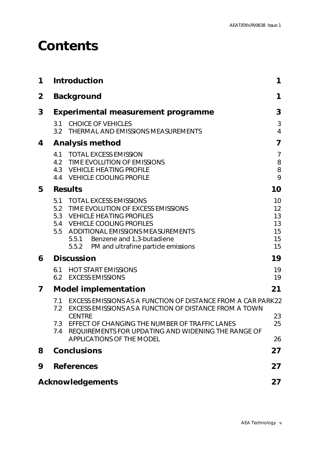## **Contents**

| 1            |                   | Introduction                                                                                                                                                                                                                                                                             | 1                                      |
|--------------|-------------------|------------------------------------------------------------------------------------------------------------------------------------------------------------------------------------------------------------------------------------------------------------------------------------------|----------------------------------------|
| $\mathbf{2}$ |                   | <b>Background</b>                                                                                                                                                                                                                                                                        | 1                                      |
| 3            |                   | <b>Experimental measurement programme</b>                                                                                                                                                                                                                                                | 3                                      |
|              | 3.1<br>3.2        | <b>CHOICE OF VEHICLES</b><br>THERMAL AND EMISSIONS MEASUREMENTS                                                                                                                                                                                                                          | $\mathfrak{Z}$<br>$\overline{4}$       |
| 4            |                   | <b>Analysis method</b>                                                                                                                                                                                                                                                                   | $\overline{\mathbf{z}}$                |
|              |                   | 4.1 TOTAL EXCESS EMISSION<br>4.2 TIME EVOLUTION OF EMISSIONS<br>4.3 VEHICLE HEATING PROFILE<br>4.4 VEHICLE COOLING PROFILE                                                                                                                                                               | $\overline{7}$<br>8<br>8<br>9          |
| 5            |                   | <b>Results</b>                                                                                                                                                                                                                                                                           | 10                                     |
|              | 5.5               | 5.1 TOTAL EXCESS EMISSIONS<br>5.2 TIME EVOLUTION OF EXCESS EMISSIONS<br>5.3 VEHICLE HEATING PROFILES<br>5.4 VEHICLE COOLING PROFILES<br><b>ADDITIONAL EMISSIONS MEASUREMENTS</b><br>5.5.1 Benzene and 1,3-butadiene<br>5.5.2 PM and ultrafine particle emissions                         | 10<br>12<br>13<br>13<br>15<br>15<br>15 |
| 6            |                   | <b>Discussion</b>                                                                                                                                                                                                                                                                        | 19                                     |
|              | 6.1               | <b>HOT START EMISSIONS</b><br>6.2 EXCESS EMISSIONS                                                                                                                                                                                                                                       | 19<br>19                               |
| 7            |                   | <b>Model implementation</b>                                                                                                                                                                                                                                                              | 21                                     |
|              | 7.2<br>7.3<br>7.4 | 7.1 EXCESS EMISSIONS AS A FUNCTION OF DISTANCE FROM A CAR PARK22<br>EXCESS EMISSIONS AS A FUNCTION OF DISTANCE FROM A TOWN<br><b>CENTRF</b><br>EFFECT OF CHANGING THE NUMBER OF TRAFFIC LANES<br>REQUIREMENTS FOR UPDATING AND WIDENING THE RANGE OF<br><b>APPLICATIONS OF THE MODEL</b> | 23<br>25<br>26                         |
| 8            |                   | <b>Conclusions</b>                                                                                                                                                                                                                                                                       | 27                                     |
| 9            |                   | <b>References</b>                                                                                                                                                                                                                                                                        | 27                                     |
|              |                   | <b>Acknowledgements</b>                                                                                                                                                                                                                                                                  | 27                                     |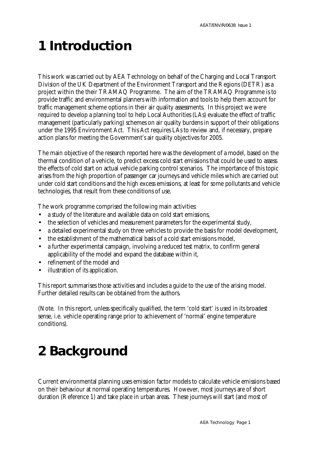# **1 Introduction**

This work was carried out by AEA Technology on behalf of the Charging and Local Transport Division of the UK Department of the Environment Transport and the Regions (DETR) as a project within the their TRAMAQ Programme. The aim of the TRAMAQ Programme is to provide traffic and environmental planners with information and tools to help them account for traffic management scheme options in their air quality assessments. In this project we were required to develop a planning tool to help Local Authorities (LAs) evaluate the effect of traffic management (particularly parking) schemes on air quality burdens in support of their obligations under the 1995 Environment Act. This Act requires LAs to review and, if necessary, prepare action plans for meeting the Government's air quality objectives for 2005.

The main objective of the research reported here was the development of a model, based on the thermal condition of a vehicle, to predict excess cold start emissions that could be used to assess the effects of cold start on actual vehicle parking control scenarios. The importance of this topic arises from the high proportion of passenger car journeys and vehicle miles which are carried out under cold start conditions and the high excess emissions, at least for some pollutants and vehicle technologies, that result from these conditions of use.

The work programme comprised the following main activities:

- a study of the literature and available data on cold start emissions,
- the selection of vehicles and measurement parameters for the experimental study,
- a detailed experimental study on three vehicles to provide the basis for model development,
- the establishment of the mathematical basis of a cold start emissions model.
- a further experimental campaign, involving a reduced test matrix, to confirm general applicability of the model and expand the database within it,
- refinement of the model and
- illustration of its application.

This report summarises those activities and includes a guide to the use of the arising model. Further detailed results can be obtained from the authors.

(Note. In this report, unless specifically qualified, the term 'cold start' is used in its broadest sense, i.e. vehicle operating range prior to achievement of 'normal' engine temperature conditions).

# **2 Background**

Current environmental planning uses emission factor models to calculate vehicle emissions based on their behaviour at normal operating temperatures. However, most journeys are of short duration (Reference 1) and take place in urban areas. These journeys will start (and most of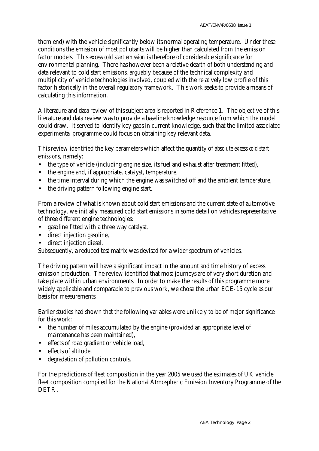them end) with the vehicle significantly below its normal operating temperature. Under these conditions the emission of most pollutants will be higher than calculated from the emission factor models. This *excess cold start emission* is therefore of considerable significance for environmental planning. There has however been a relative dearth of both understanding and data relevant to cold start emissions, arguably because of the technical complexity and multiplicity of vehicle technologies involved, coupled with the relatively low profile of this factor historically in the overall regulatory framework. This work seeks to provide a means of calculating this information.

A literature and data review of this subject area is reported in Reference 1. The objective of this literature and data review was to provide a baseline knowledge resource from which the model could draw. It served to identify key gaps in current knowledge, such that the limited associated experimental programme could focus on obtaining key relevant data.

This review identified the key parameters which affect the quantity of *absolute excess cold start emissions*, namely:

- the type of vehicle (including engine size, its fuel and exhaust after treatment fitted),
- the engine and, if appropriate, catalyst, temperature,
- the time interval during which the engine was switched off and the ambient temperature,
- the driving pattern following engine start.

From a review of what is known about cold start emissions and the current state of automotive technology, we initially measured cold start emissions in some detail on vehicles representative of three different engine technologies:

- gasoline fitted with a three way catalyst,
- direct injection gasoline,
- direct injection diesel.

Subsequently, a reduced test matrix was devised for a wider spectrum of vehicles.

The driving pattern will have a significant impact in the amount and time history of excess emission production. The review identified that most journeys are of very short duration and take place within urban environments. In order to make the results of this programme more widely applicable and comparable to previous work, we chose the urban ECE-15 cycle as our basis for measurements.

Earlier studies had shown that the following variables were unlikely to be of major significance for this work:

- the number of miles accumulated by the engine (provided an appropriate level of maintenance has been maintained),
- effects of road gradient or vehicle load,
- effects of altitude,
- degradation of pollution controls.

For the predictions of fleet composition in the year 2005 we used the estimates of UK vehicle fleet composition compiled for the National Atmospheric Emission Inventory Programme of the DETR.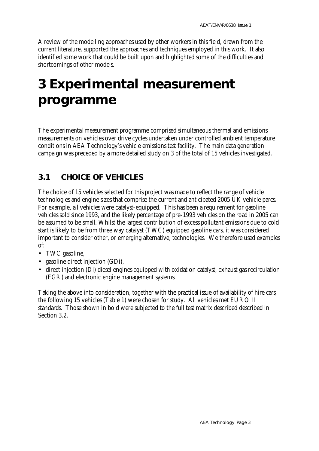A review of the modelling approaches used by other workers in this field, drawn from the current literature, supported the approaches and techniques employed in this work. It also identified some work that could be built upon and highlighted some of the difficulties and shortcomings of other models.

# **3 Experimental measurement programme**

The experimental measurement programme comprised simultaneous thermal and emissions measurements on vehicles over drive cycles undertaken under controlled ambient temperature conditions in AEA Technology's vehicle emissions test facility. The main data generation campaign was preceded by a more detailed study on 3 of the total of 15 vehicles investigated.

### **3.1 CHOICE OF VEHICLES**

The choice of 15 vehicles selected for this project was made to reflect the range of vehicle technologies and engine sizes that comprise the current and anticipated 2005 UK vehicle parcs. For example, all vehicles were catalyst-equipped. This has been a requirement for gasoline vehicles sold since 1993, and the likely percentage of pre-1993 vehicles on the road in 2005 can be assumed to be small. Whilst the largest contribution of excess pollutant emissions due to cold start is likely to be from three way catalyst (TWC) equipped gasoline cars, it was considered important to consider other, or emerging alternative, technologies. We therefore used examples of:

- TWC gasoline,
- gasoline direct injection (GDi),
- direct injection (Di) diesel engines equipped with oxidation catalyst, exhaust gas recirculation (EGR) and electronic engine management systems.

Taking the above into consideration, together with the practical issue of availability of hire cars, the following 15 vehicles (Table 1) were chosen for study. All vehicles met EURO II standards. Those shown in bold were subjected to the full test matrix described described in Section 3.2.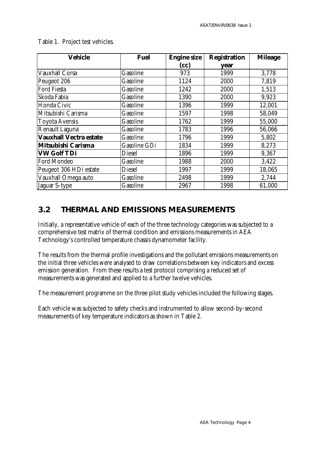| <b>Vehicle</b><br><b>Fuel</b> |              | <b>Engine size</b> | <b>Registration</b> | <b>Mileage</b> |
|-------------------------------|--------------|--------------------|---------------------|----------------|
|                               |              | (cc)               | year                |                |
| Vauxhall Corsa                | Gasoline     | 973                | 1999                | 3,778          |
| Peugeot 206                   | Gasoline     | 1124               | 2000                | 7,819          |
| <b>Ford Fiesta</b>            | Gasoline     | 1242               | 2000                | 1,513          |
| Skoda Fabia                   | Gasoline     | 1390               | 2000                | 9,923          |
| Honda Civic                   | Gasoline     | 1396               | 1999                | 12,001         |
| Mitsubishi Carisma            | Gasoline     | 1597               | 1998                | 58,049         |
| <b>Toyota Avensis</b>         | Gasoline     | 1762               | 1999                | 55,000         |
| Renault Laguna                | Gasoline     | 1783               | 1996                | 56,066         |
| <b>Vauxhall Vectra estate</b> | Gasoline     | 1796               | 1999                | 5,802          |
| Mitsubishi Carisma            | Gasoline GDi | 1834               | 1999                | 8,273          |
| <b>VW Golf TDi</b>            | Diesel       | 1896               | 1999                | 9,367          |
| <b>Ford Mondeo</b>            | Gasoline     | 1988               | 2000                | 3,422          |
| Peugeot 306 HDi estate        | Diesel       | 1997               | 1999                | 18,065         |
| Vauxhall Omega auto           | Gasoline     | 2498               | 1999                | 2,744          |
| Jaguar S-type                 | Gasoline     | 2967               | 1998                | 61,000         |

Table 1. Project test vehicles.

### **3.2 THERMAL AND EMISSIONS MEASUREMENTS**

Initially, a representative vehicle of each of the three technology categories was subjected to a comprehensive test matrix of thermal condition and emissions measurements in AEA Technology's controlled temperature chassis dynamometer facility.

The results from the thermal profile investigations and the pollutant emissions measurements on the initial three vehicles were analysed to draw correlations between key indicators and excess emission generation. From these results a test protocol comprising a reduced set of measurements was generated and applied to a further twelve vehicles.

The measurement programme on the three pilot study vehicles included the following stages.

Each vehicle was subjected to safety checks and instrumented to allow second-by-second measurements of key temperature indicators as shown in Table 2.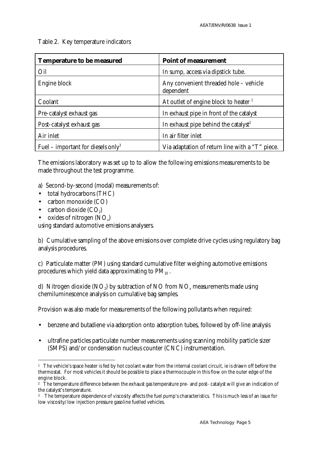Table 2. Key temperature indicators

| <b>Temperature to be measured</b>              | <b>Point of measurement</b>                         |
|------------------------------------------------|-----------------------------------------------------|
| Oil                                            | In sump, access via dipstick tube.                  |
| Engine block                                   | Any convenient threaded hole - vehicle<br>dependent |
| Coolant                                        | At outlet of engine block to heater 1               |
| Pre-catalyst exhaust gas                       | In exhaust pipe in front of the catalyst            |
| Post-catalyst exhaust gas                      | In exhaust pipe behind the catalyst <sup>2</sup>    |
| Air inlet                                      | In air filter inlet                                 |
| Fuel – important for diesels only <sup>3</sup> | Via adaptation of return line with a "T" piece.     |

The emissions laboratory was set up to to allow the following emissions measurements to be made throughout the test programme.

- a) Second-by-second (modal) measurements of:
- total hydrocarbons (THC)
- carbon monoxide (CO)
- carbon dioxide  $(CO_2)$
- $\bullet$  oxides of nitrogen (NO<sub>x</sub>)

using standard automotive emissions analysers.

b) Cumulative sampling of the above emissions over complete drive cycles using regulatory bag analysis procedures.

c) Particulate matter (PM) using standard cumulative filter weighing automotive emissions procedures which yield data approximating to  $PM_{10}$ .

d)  $\,$  Nitrogen dioxide (NO $_{2}$ ) by subtraction of NO from NO $_{\mathrm{x}}$  measurements made using chemiluminescence analysis on cumulative bag samples.

Provision was also made for measurements of the following pollutants when required:

- benzene and butadiene via adsorption onto adsorption tubes, followed by off-line analysis
- ultrafine particles particulate number measurements using scanning mobility particle sizer (SMPS) and/or condensation nucleus counter (CNC) instrumentation.

 $\overline{a}$  $^{\rm 1}~$  The vehicle's space heater is fed by hot coolant water from the internal coolant circuit, ie is drawn off before the thermostat. For most vehicles it should be possible to place a thermocouple in this flow on the outer edge of the engine block.

<sup>2</sup> The temperature difference between the exhaust gas temperature pre- and post- catalyst will give an indication of the catalyst's temperature.

<sup>3</sup> The temperature dependence of viscosity affects the fuel pump's characteristics. This is much less of an issue for low viscosity/low injection pressure gasoline fuelled vehicles.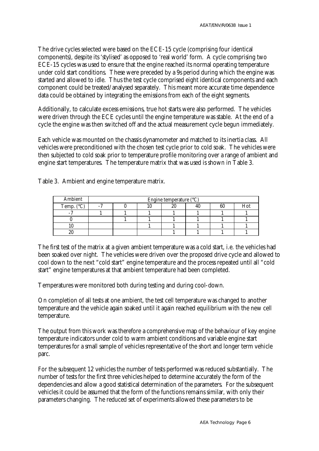The drive cycles selected were based on the ECE-15 cycle (comprising four identical components), despite its 'stylised' as opposed to 'real world' form. A cycle comprising two ECE-15 cycles was used to ensure that the engine reached its normal operating temperature under cold start conditions. These were preceded by a 9s period during which the engine was started and allowed to idle. Thus the test cycle comprised eight identical components and each component could be treated/analysed separately. This meant more accurate time dependence data could be obtained by integrating the emissions from each of the eight segments.

Additionally, to calculate excess emissions, true hot starts were also performed. The vehicles were driven through the ECE cycles until the engine temperature was stable. At the end of a cycle the engine was then switched off and the actual measurement cycle begun immediately.

Each vehicle was mounted on the chassis dynamometer and matched to its inertia class. All vehicles were preconditioned with the chosen test cycle prior to cold soak. The vehicles were then subjected to cold soak prior to temperature profile monitoring over a range of ambient and engine start temperatures. The temperature matrix that was used is shown in Table 3.

| Ambient             | Engine temperature $(^{\circ}C)$ |  |  |    |  |     |
|---------------------|----------------------------------|--|--|----|--|-----|
| Temp. $(^{\circ}C)$ |                                  |  |  | Wυ |  | Hot |
|                     |                                  |  |  |    |  |     |
|                     |                                  |  |  |    |  |     |
|                     |                                  |  |  |    |  |     |
| w                   |                                  |  |  |    |  |     |

Table 3. Ambient and engine temperature matrix.

The first test of the matrix at a given ambient temperature was a cold start, i.e. the vehicles had been soaked over night. The vehicles were driven over the proposed drive cycle and allowed to cool down to the next "cold start" engine temperature and the process repeated until all "cold start" engine temperatures at that ambient temperature had been completed.

Temperatures were monitored both during testing and during cool-down.

On completion of all tests at one ambient, the test cell temperature was changed to another temperature and the vehicle again soaked until it again reached equilibrium with the new cell temperature.

The output from this work was therefore a comprehensive map of the behaviour of key engine temperature indicators under cold to warm ambient conditions and variable engine start temperatures for a small sample of vehicles representative of the short and longer term vehicle parc.

For the subsequent 12 vehicles the number of tests performed was reduced substantially. The number of tests for the first three vehicles helped to determine accurately the form of the dependencies and allow a good statistical determination of the parameters. For the subsequent vehicles it could be assumed that the form of the functions remains similar, with only their parameters changing. The reduced set of experiments allowed these parameters to be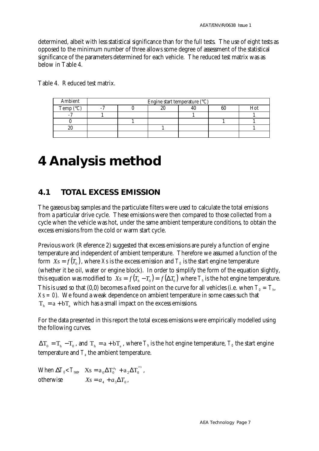determined, albeit with less statistical significance than for the full tests. The use of eight tests as opposed to the minimum number of three allows some degree of assessment of the statistical significance of the parameters determined for each vehicle. The reduced test matrix was as below in Table 4.

| Ambient            |  | Engine start temperature $(^{\circ}C)$ |    |    |  |
|--------------------|--|----------------------------------------|----|----|--|
| Temp $(^{\circ}C)$ |  | ۵u                                     | 4U | 60 |  |
|                    |  |                                        |    |    |  |
|                    |  |                                        |    |    |  |
| 20                 |  |                                        |    |    |  |
|                    |  |                                        |    |    |  |

Table 4. Reduced test matrix.

# **4 Analysis method**

#### **4.1 TOTAL EXCESS EMISSION**

The gaseous bag samples and the particulate filters were used to calculate the total emissions from a particular drive cycle. These emissions were then compared to those collected from a cycle when the vehicle was hot, under the same ambient temperature conditions, to obtain the excess emissions from the cold or warm start cycle.

Previous work (Reference 2) suggested that excess emissions are purely a function of engine temperature and independent of ambient temperature. Therefore we assumed a function of the form  $\,Xs = f(T_{_0})$  , where  $Xs$  is the excess emission and  $\,T_{_0}$  is the start engine temperature (whether it be oil, water or engine block). In order to simplify the form of the equation slightly, this equation was modified to  $X_s = f(T_h - T_o) = f(\Delta T_o)$  where  $T_h$  is the hot engine temperature. This is used so that (0,0) becomes a fixed point on the curve for all vehicles (i.e. when  $T_o = T_{\scriptscriptstyle h}$ ,  $Xs = 0$ . We found a weak dependence on ambient temperature in some cases such that  $T<sub>h</sub> = a + bT<sub>a</sub>$  which has a small impact on the excess emissions.

For the data presented in this report the total excess emissions were empirically modelled using the following curves.

 $\Delta T_0 = T_h - T_0$ , and  $T_h = a + bT_a$ , where  $T_h$  is the hot engine temperature,  $T_\theta$  the start engine temperature and  $T_{\scriptscriptstyle a}$  the ambient temperature.

When  $\bm{D}T_0 \!\! < \! T_{\text{test}}$ ,  $\bm{\mathrm{X}} \bm{\mathrm{s}} = \bm{\mathrm{a}}_0 \Delta T_0^{\mathrm{a}_1} + \bm{\mathrm{a}}_2 \Delta T_0^{\mathrm{a}_3}$ , otherwise  $Xs = a_4 + a_5 \Delta T_0$ ,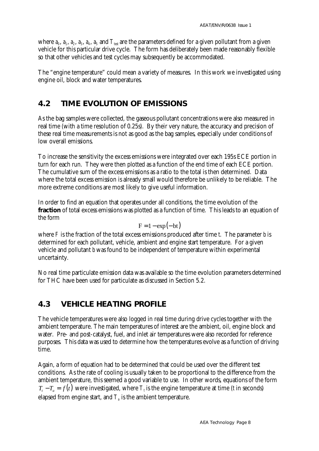where  $a_0$ ,  $a_1$ ,  $a_2$ ,  $a_3$ ,  $a_4$ ,  $a_5$  and  $T_{\rm test}$  are the parameters defined for a given pollutant from a given vehicle for this particular drive cycle. The form has deliberately been made reasonably flexible so that other vehicles and test cycles may subsequently be accommodated.

The "engine temperature" could mean a variety of measures. In this work we investigated using engine oil, block and water temperatures.

### **4.2 TIME EVOLUTION OF EMISSIONS**

As the bag samples were collected, the gaseous pollutant concentrations were also measured in real time (with a time resolution of 0.25s). By their very nature, the accuracy and precision of these real time measurements is not as good as the bag samples, especially under conditions of low overall emissions.

To increase the sensitivity the excess emissions were integrated over each 195s ECE portion in turn for each run. They were then plotted as a function of the end time of each ECE portion. The cumulative sum of the excess emissions as a ratio to the total is then determined. Data where the total excess emission is already small would therefore be unlikely to be reliable. The more extreme conditions are most likely to give useful information.

In order to find an equation that operates under all conditions, the time evolution of the **fraction** of total excess emissions was plotted as a function of time. This leads to an equation of the form

$$
F = 1 - \exp(-bt)
$$

where *F* is the fraction of the total excess emissions produced after time *t*. The parameter *b* is determined for each pollutant, vehicle, ambient and engine start temperature. For a given vehicle and pollutant *b* was found to be independent of temperature within experimental uncertainty.

No real time particulate emission data was available so the time evolution parameters determined for THC have been used for particulate as discussed in Section 5.2.

### **4.3 VEHICLE HEATING PROFILE**

The vehicle temperatures were also logged in real time during drive cycles together with the ambient temperature. The main temperatures of interest are the ambient, oil, engine block and water. Pre- and post-catalyst, fuel, and inlet air temperatures were also recorded for reference purposes. This data was used to determine how the temperatures evolve as a function of driving time.

Again, a form of equation had to be determined that could be used over the different test conditions. As the rate of cooling is usually taken to be proportional to the difference from the ambient temperature, this seemed a good variable to use. In other words, equations of the form  $T_t - T_a = f(t)$  were investigated, where  $T_t$  is the engine temperature at time (*t* in seconds) elapsed from engine start, and  $T_{\scriptscriptstyle a}$  is the ambient temperature.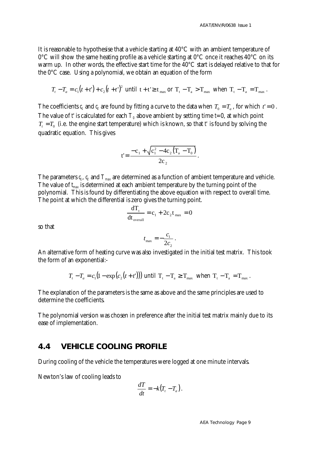It is reasonable to hypothesise that a vehicle starting at 40°C with an ambient temperature of  $0^{\circ}$ C will show the same heating profile as a vehicle starting at  $0^{\circ}$ C once it reaches  $40^{\circ}$ C on its warm up. In other words, the effective start time for the 40°C start is delayed relative to that for the 0°C case. Using a polynomial, we obtain an equation of the form

$$
T_{t} - T_{a} = c_{1}(t + t^{2}) + c_{2}(t + t^{2})^{2}
$$
 until  $t + t^{2} \ge t_{\text{max}}$  or  $T_{t} - T_{a} > T_{\text{max}}$  when  $T_{t} - T_{a} = T_{\text{max}}$ .

The coefficients  $c_i$  and  $c_2$  are found by fitting a curve to the data when  $T_0 = T_a$ , for which  $t' = 0$ . The value of  $t$  is calculated for each  $T_o$  above ambient by setting time *t*=0, at which point  $T_t = T_0$  (i.e. the engine start temperature) which is known, so that *t'* is found by solving the quadratic equation. This gives

$$
t' = \frac{-c_1 + \sqrt{c_1^2 - 4c_2(T_a - T_0)}}{2c_2}.
$$

The parameters  $c_t$ ,  $c_2$  and  $T_{\scriptscriptstyle \sf max}$  are determined as a function of ambient temperature and vehicle. The value of *tmax* is determined at each ambient temperature by the turning point of the polynomial. This is found by differentiating the above equation with respect to overall time. The point at which the differential is zero gives the turning point.

$$
\frac{dT_{t}}{dt_{\text{overall}}} = c_1 + 2c_2 t_{\text{max}} = 0
$$

so that

$$
t_{\text{max}} = -\frac{c_1}{2c_2}.
$$

An alternative form of heating curve was also investigated in the initial test matrix. This took the form of an exponential:-

$$
T_t - T_a = c_1 (1 - \exp(c_2(t + t)))
$$
 until  $T_t - T_a \ge T_{\text{max}}$  when  $T_t - T_a = T_{\text{max}}$ .

The explanation of the parameters is the same as above and the same principles are used to determine the coefficients.

The polynomial version was chosen in preference after the initial test matrix mainly due to its ease of implementation.

#### **4.4 VEHICLE COOLING PROFILE**

During cooling of the vehicle the temperatures were logged at one minute intervals.

Newton's law of cooling leads to

$$
\frac{dT}{dt} = -k(T_t - T_a).
$$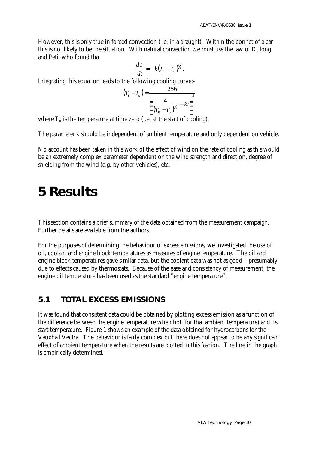However, this is only true in forced convection (i.e. in a draught). Within the bonnet of a car this is not likely to be the situation. With natural convection we must use the law of Dulong and Petit who found that

$$
\frac{dT}{dt} = -k(T_t - T_a)^{\frac{5}{4}}.
$$

Integrating this equation leads to the following cooling curve:-

$$
(T_t - T_a) = \frac{256}{\left(\frac{4}{(T_0 - T_a)^{1/4}} + kt\right)^4}
$$

where  $T_o$  is the temperature at time zero (i.e. at the start of cooling).

The parameter *k* should be independent of ambient temperature and only dependent on vehicle.

No account has been taken in this work of the effect of wind on the rate of cooling as this would be an extremely complex parameter dependent on the wind strength and direction, degree of shielding from the wind (e.g. by other vehicles), etc.

### **5 Results**

This section contains a brief summary of the data obtained from the measurement campaign. Further details are available from the authors.

For the purposes of determining the behaviour of excess emissions, we investigated the use of oil, coolant and engine block temperatures as measures of engine temperature. The oil and engine block temperatures gave similar data, but the coolant data was not as good – presumably due to effects caused by thermostats. Because of the ease and consistency of measurement, the engine oil temperature has been used as the standard "engine temperature".

#### **5.1 TOTAL EXCESS EMISSIONS**

It was found that consistent data could be obtained by plotting excess emission as a function of the difference between the engine temperature when hot (for that ambient temperature) and its start temperature. Figure 1 shows an example of the data obtained for hydrocarbons for the Vauxhall Vectra. The behaviour is fairly complex but there does not appear to be any significant effect of ambient temperature when the results are plotted in this fashion. The line in the graph is empirically determined.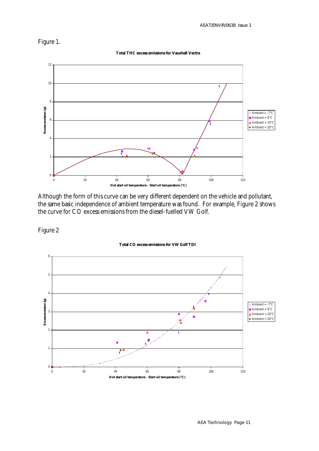#### Figure 1.

**Total THC excess emissions for Vauxhall Vectra**



Although the form of this curve can be very different dependent on the vehicle and pollutant, the same basic independence of ambient temperature was found. For example, Figure 2 shows the curve for CO excess emissions from the diesel-fuelled VW Golf.

Figure 2

#### **Total CO excess emissions for VW Golf TDI**

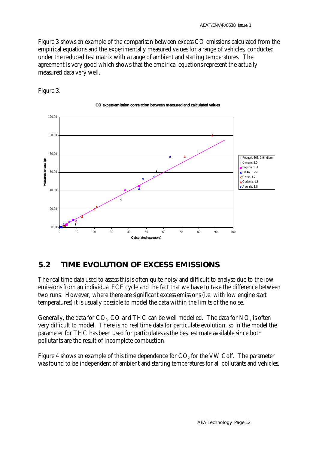Figure 3 shows an example of the comparison between excess CO emissions calculated from the empirical equations and the experimentally measured values for a range of vehicles, conducted under the reduced test matrix with a range of ambient and starting temperatures. The agreement is very good which shows that the empirical equations represent the actually measured data very well.



Figure 3.

### **5.2 TIME EVOLUTION OF EXCESS EMISSIONS**

The real time data used to assess this is often quite noisy and difficult to analyse due to the low emissions from an individual ECE cycle and the fact that we have to take the difference between two runs. However, where there are significant excess emissions (i.e. with low engine start temperatures) it is usually possible to model the data within the limits of the noise.

Generally, the data for CO<sub>2</sub>, CO and THC can be well modelled. The data for NO<sub>x</sub> is often very difficult to model. There is no real time data for particulate evolution, so in the model the parameter for THC has been used for particulates as the best estimate available since both pollutants are the result of incomplete combustion.

Figure 4 shows an example of this time dependence for  $\mathrm{CO}_2$  for the VW Golf. The parameter was found to be independent of ambient and starting temperatures for all pollutants and vehicles.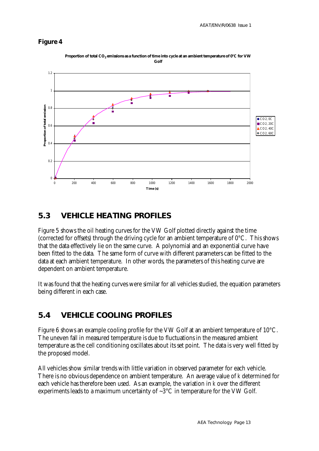#### **Figure 4**



**Proportion of total CO<sup>2</sup> emissions as a function of time into cycle at an ambient temperature of 0°C for VW Golf**

### **5.3 VEHICLE HEATING PROFILES**

Figure 5 shows the oil heating curves for the VW Golf plotted directly against the time (corrected for offsets) through the driving cycle for an ambient temperature of 0°C. This shows that the data effectively lie on the same curve. A polynomial and an exponential curve have been fitted to the data. The same form of curve with different parameters can be fitted to the data at each ambient temperature. In other words, the parameters of this heating curve are dependent on ambient temperature.

It was found that the heating curves were similar for all vehicles studied, the equation parameters being different in each case.

### **5.4 VEHICLE COOLING PROFILES**

Figure 6 shows an example cooling profile for the VW Golf at an ambient temperature of 10°C. The uneven fall in measured temperature is due to fluctuations in the measured ambient temperature as the cell conditioning oscillates about its set point. The data is very well fitted by the proposed model.

All vehicles show similar trends with little variation in observed parameter for each vehicle. There is no obvious dependence on ambient temperature. An average value of *k* determined for each vehicle has therefore been used. As an example, the variation in *k* over the different experiments leads to a maximum uncertainty of  $\sim 3^{\circ}$ C in temperature for the VW Golf.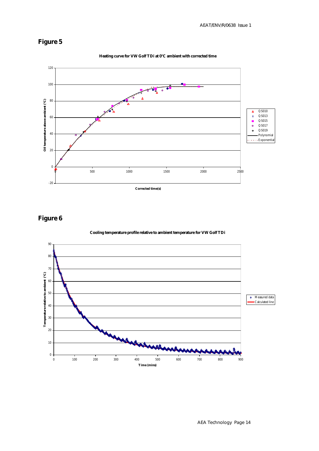#### **Figure 5**



**Figure 6**





#### **Heating curve for VW Golf TDi at 0°C ambient with corrected time**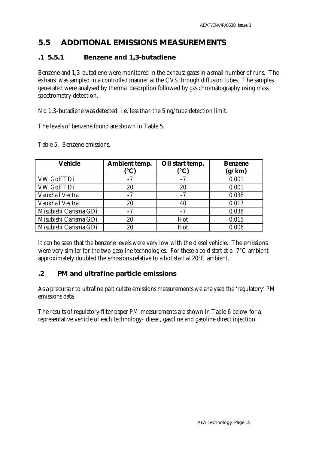### **5.5 ADDITIONAL EMISSIONS MEASUREMENTS**

#### **.1 5.5.1 Benzene and 1,3-butadiene**

Benzene and 1,3-butadiene were monitored in the exhaust gases in a small number of runs. The exhaust was sampled in a controlled manner at the CVS through diffusion tubes. The samples generated were analysed by thermal desorption followed by gas chromatography using mass spectrometry detection.

No 1,3-butadiene was detected, i.e. less than the 5 ng/tube detection limit.

The levels of benzene found are shown in Table 5.

| <b>Vehicle</b>         | Ambient temp.<br>(°C) | Oil start temp.<br>(°C) | <b>Benzene</b><br>(g/km) |
|------------------------|-----------------------|-------------------------|--------------------------|
| VW Golf TDi            |                       | $-7$                    | 0.001                    |
| VW Golf TDi            | $20\,$                | 20                      | 0.001                    |
| <b>Vauxhall Vectra</b> | -7                    | -7                      | 0.038                    |
| Vauxhall Vectra        | 20                    | 40                      | 0.017                    |
| Misubishi Carisma GDi  | $-7$                  | $-7$                    | 0.038                    |
| Misubishi Carisma GDi  | 20                    | Hot                     | 0.015                    |
| Misubishi Carisma GDi  |                       | Hot                     | 0.006                    |

Table 5. Benzene emissions.

It can be seen that the benzene levels were very low with the diesel vehicle. The emissions were very similar for the two gasoline technologies. For these a cold start at a -7°C ambient approximately doubled the emissions relative to a hot start at 20°C ambient.

#### **.2 PM and ultrafine particle emissions**

As a precursor to ultrafine particulate emissions measurements we analysed the 'regulatory' PM emissions data.

The results of regulatory filter paper PM measurements are shown in Table 6 below for a representative vehicle of each technology- diesel, gasoline and gasoline direct injection.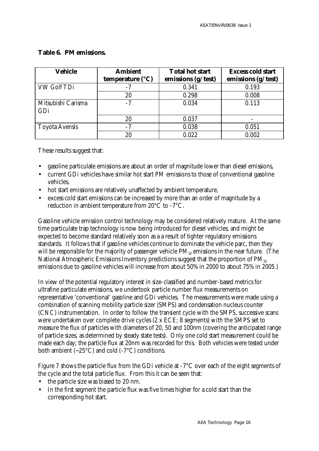| <b>Vehicle</b>            | <b>Ambient</b><br>temperature $(^{\circ}C)$ | <b>Total hot start</b><br>emissions (g/test) | <b>Excess cold start</b><br>emissions (g/test) |
|---------------------------|---------------------------------------------|----------------------------------------------|------------------------------------------------|
| <b>VW Golf TDi</b>        |                                             | 0.341                                        | 0.193                                          |
|                           | 20                                          | 0.298                                        | 0.008                                          |
| Mitsubishi Carisma<br>GDi | $-7$                                        | 0.034                                        | 0.113                                          |
|                           | 20                                          | 0.037                                        |                                                |
| <b>Toyota Avensis</b>     | $-7$                                        | 0.038                                        | 0.051                                          |
|                           | 20                                          | 0.022                                        | 0.002                                          |

#### **Table 6. PM emissions.**

These results suggest that:

- gasoline particulate emissions are about an order of magnitude lower than diesel emissions,
- current GDi vehicles have similar hot start PM emissions to those of conventional gasoline vehicles,
- hot start emissions are relatively unaffected by ambient temperature,
- excess cold start emissions can be increased by more than an order of magnitude by a reduction in ambient temperature from 20°C to -7°C.

Gasoline vehicle emission control technology may be considered relatively mature. At the same time particulate trap technology is now being introduced for diesel vehicles, and might be expected to become standard relatively soon as a a result of tighter regulatory emissions standards. It follows that if gasoline vehicles continue to dominate the vehicle parc, then they will be responsible for the majority of passenger vehicle  $PM_{10}$  emissions in the near future. (The National Atmospheric Emissions Inventory predictions suggest that the proportion of  $PM_{10}$ emissions due to gasoline vehicles will increase from about 50% in 2000 to about 75% in 2005.)

In view of the potential regulatory interest in size-classified and number-based metrics for ultrafine particulate emissions, we undertook particle number flux measurements on representative 'conventional' gasoline and GDi vehicles. The measurements were made using a combination of scanning mobility particle sizer (SMPS) and condensation nucleus counter (CNC) instrumentation. In order to follow the transient cycle with the SMPS, successive scans were undertaken over complete drive cycles (2 x ECE; 8 segments) with the SMPS set to measure the flux of particles with diameters of 20, 50 and 100nm (covering the anticipated range of particle sizes, as determined by steady state tests). Only one cold start measurement could be made each day; the particle flux at 20nm was recorded for this. Both vehicles were tested under both ambient  $(-25^{\circ}C)$  and cold  $(-7^{\circ}C)$  conditions.

Figure 7 shows the particle flux from the GDi vehicle at -7°C over each of the eight segments of the cycle and the total particle flux. From this it can be seen that:

- the particle size was biased to 20 nm.
- In the first segment the particle flux was five times higher for a cold start than the corresponding hot start.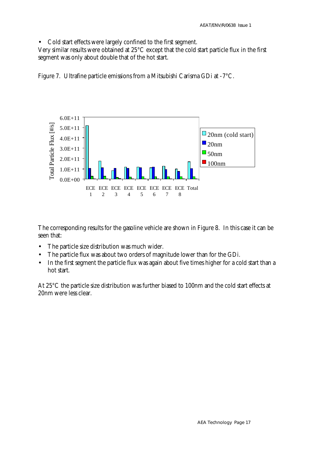• Cold start effects were largely confined to the first segment.

Very similar results were obtained at 25°C except that the cold start particle flux in the first segment was only about double that of the hot start.

Figure 7. Ultrafine particle emissions from a Mitsubishi Carisma GDi at -7°C.



The corresponding results for the gasoline vehicle are shown in Figure 8. In this case it can be seen that:

- The particle size distribution was much wider.
- The particle flux was about two orders of magnitude lower than for the GDi.
- In the first segment the particle flux was again about five times higher for a cold start than a hot start.

At 25°C the particle size distribution was further biased to 100nm and the cold start effects at 20nm were less clear.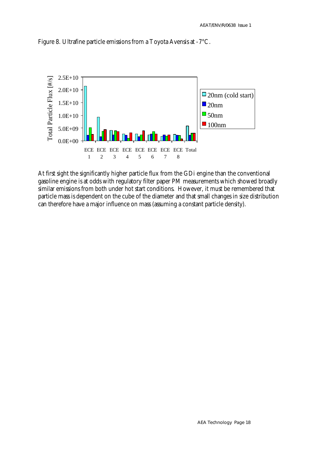

Figure 8. Ultrafine particle emissions from a Toyota Avensis at -7°C.

At first sight the significantly higher particle flux from the GDi engine than the conventional gasoline engine is at odds with regulatory filter paper PM measurements which showed broadly similar emissions from both under hot start conditions. However, it must be remembered that particle mass is dependent on the cube of the diameter and that small changes in size distribution can therefore have a major influence on mass (assuming a constant particle density).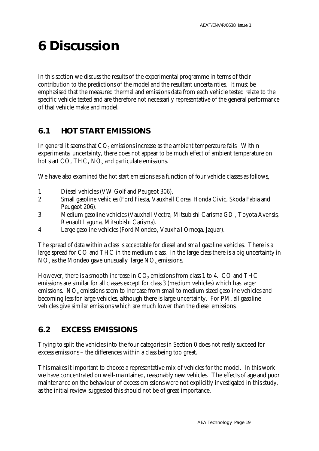# **6 Discussion**

In this section we discuss the results of the experimental programme in terms of their contribution to the predictions of the model and the resultant uncertainties. It must be emphasised that the measured thermal and emissions data from each vehicle tested relate to the specific vehicle tested and are therefore not necessarily representative of the general performance of that vehicle make and model.

### **6.1 HOT START EMISSIONS**

In general it seems that  $\mathrm{CO}_2$  emissions increase as the ambient temperature falls. Within experimental uncertainty, there does not appear to be much effect of ambient temperature on hot start CO, THC,  $NO<sub>x</sub>$  and particulate emissions.

We have also examined the hot start emissions as a function of four vehicle classes as follows,

- 1. Diesel vehicles (VW Golf and Peugeot 306).
- 2. Small gasoline vehicles (Ford Fiesta, Vauxhall Corsa, Honda Civic, Skoda Fabia and Peugeot 206).
- 3. Medium gasoline vehicles (Vauxhall Vectra, Mitsubishi Carisma GDi, Toyota Avensis, Renault Laguna, Mitsubishi Carisma).
- 4. Large gasoline vehicles (Ford Mondeo, Vauxhall Omega, Jaguar).

The spread of data within a class is acceptable for diesel and small gasoline vehicles. There is a large spread for CO and THC in the medium class. In the large class there is a big uncertainty in  $\rm NO_x$  as the Mondeo gave unusually large  $\rm NO_x$  emissions.

However, there is a smooth increase in  $\mathrm{CO}_2$  emissions from class 1 to 4.  $\,\mathrm{CO}$  and THC emissions are similar for all classes except for class 3 (medium vehicles) which has larger emissions.  ${\rm NO_{x}}$  emissions seem to increase from small to medium sized gasoline vehicles and becoming less for large vehicles, although there is large uncertainty. For PM, all gasoline vehicles give similar emissions which are much lower than the diesel emissions.

### **6.2 EXCESS EMISSIONS**

Trying to split the vehicles into the four categories in Section 0 does not really succeed for excess emissions – the differences within a class being too great.

This makes it important to choose a representative mix of vehicles for the model. In this work we have concentrated on well-maintained, reasonably new vehicles. The effects of age and poor maintenance on the behaviour of excess emissions were not explicitly investigated in this study, as the initial review suggested this should not be of great importance.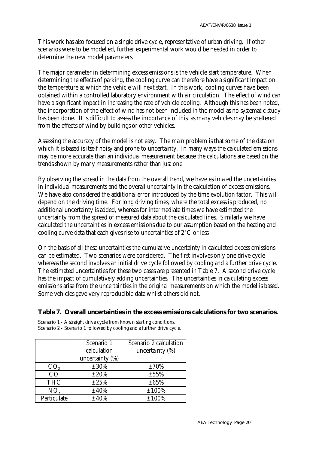This work has also focused on a single drive cycle, representative of urban driving. If other scenarios were to be modelled, further experimental work would be needed in order to determine the new model parameters.

The major parameter in determining excess emissions is the vehicle start temperature. When determining the effects of parking, the cooling curve can therefore have a significant impact on the temperature at which the vehicle will next start. In this work, cooling curves have been obtained within a controlled laboratory environment with air circulation. The effect of wind can have a significant impact in increasing the rate of vehicle cooling. Although this has been noted, the incorporation of the effect of wind has not been included in the model as no systematic study has been done. It is difficult to assess the importance of this, as many vehicles may be sheltered from the effects of wind by buildings or other vehicles.

Assessing the accuracy of the model is not easy. The main problem is that some of the data on which it is based is itself noisy and prone to uncertainty. In many ways the calculated emissions may be more accurate than an individual measurement because the calculations are based on the trends shown by many measurements rather than just one

By observing the spread in the data from the overall trend, we have estimated the uncertainties in individual measurements and the overall uncertainty in the calculation of excess emissions. We have also considered the additional error introduced by the time evolution factor. This will depend on the driving time. For long driving times, where the total excess is produced, no additional uncertainty is added, whereas for intermediate times we have estimated the uncertainty from the spread of measured data about the calculated lines. Similarly we have calculated the uncertainties in excess emissions due to our assumption based on the heating and cooling curve data that each gives rise to uncertainties of 2°C or less.

On the basis of all these uncertainties the cumulative uncertainty in calculated excess emissions can be estimated. Two scenarios were considered. The first involves only one drive cycle whereas the second involves an initial drive cycle followed by cooling and a further drive cycle. The estimated uncertainties for these two cases are presented in Table 7. A second drive cycle has the impact of cumulatively adding uncertainties. The uncertainties in calculating excess emissions arise from the uncertainties in the original measurements on which the model is based. Some vehicles gave very reproducible data whilst others did not.

#### **Table 7. Overall uncertainties in the excess emissions calculations for two scenarios.**

Scenario 1 - A straight drive cycle from known starting conditions. Scenario 2 - Scenario 1 followed by cooling and a further drive cycle.

|                 | Scenario 1         | Scenario 2 calculation |
|-----------------|--------------------|------------------------|
|                 | calculation        | uncertainty $(\%)$     |
|                 | uncertainty $(\%)$ |                        |
| CO <sub>2</sub> | $\pm 30\%$         | $\pm 70\%$             |
| CO              | $\pm 20\%$         | $\pm 55\%$             |
| <b>THC</b>      | $\pm 25\%$         | $\pm 65\%$             |
| $NO_{x}$        | $\pm 40\%$         | $\pm 100\%$            |
| Particulate     | $\pm 40\%$         | $\pm 100\%$            |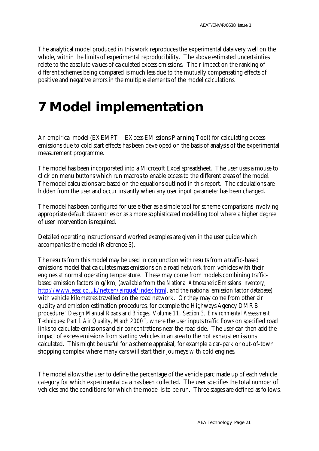The analytical model produced in this work reproduces the experimental data very well on the whole, within the limits of experimental reproducibility. The above estimated uncertainties relate to the absolute values of calculated excess emissions. Their impact on the ranking of different schemes being compared is much less due to the mutually compensating effects of positive and negative errors in the multiple elements of the model calculations.

## **7 Model implementation**

An empirical model (EXEMPT – EXcess EMissions Planning Tool) for calculating excess emissions due to cold start effects has been developed on the basis of analysis of the experimental measurement programme.

The model has been incorporated into a Microsoft Excel spreadsheet. The user uses a mouse to click on menu buttons which run macros to enable access to the different areas of the model. The model calculations are based on the equations outlined in this report. The calculations are hidden from the user and occur instantly when any user input parameter has been changed.

The model has been configured for use either as a simple tool for scheme comparisons involving appropriate default data entries or as a more sophisticated modelling tool where a higher degree of user intervention is required.

Detailed operating instructions and worked examples are given in the user guide which accompanies the model (Reference 3).

The results from this model may be used in conjunction with results from a traffic-based emissions model that calculates mass emissions on a road network from vehicles with their engines at normal operating temperature. These may come from models combining trafficbased emission factors in g/km, (available from the *National Atmospheric Emissions Inventory*, http://www.aeat.co.uk/netcen/airqual/index.html, and the national emission factor database) with vehicle kilometres travelled on the road network. Or they may come from other air quality and emission estimation procedures, for example the Highways Agency DMRB procedure "*Design Manual Roads and Bridges, Volume 11, Section 3, Environmental Assessment Techniques: Part 1 Air Quality, March 2000*", where the user inputs traffic flows on specified road links to calculate emissions and air concentrations near the road side. The user can then add the impact of excess emissions from starting vehicles in an area to the hot exhaust emissions calculated. This might be useful for a scheme appraisal, for example a car-park or out-of-town shopping complex where many cars will start their journeys with cold engines.

The model allows the user to define the percentage of the vehicle parc made up of each vehicle category for which experimental data has been collected. The user specifies the total number of vehicles and the conditions for which the model is to be run. Three stages are defined as follows.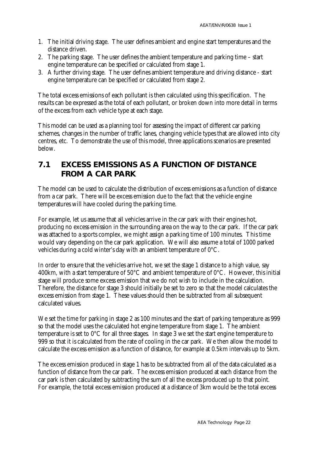- 1. The initial driving stage. The user defines ambient and engine start temperatures and the distance driven.
- 2. The parking stage. The user defines the ambient temperature and parking time start engine temperature can be specified or calculated from stage 1.
- 3. A further driving stage. The user defines ambient temperature and driving distance start engine temperature can be specified or calculated from stage 2.

The total excess emissions of each pollutant is then calculated using this specification. The results can be expressed as the total of each pollutant, or broken down into more detail in terms of the excess from each vehicle type at each stage.

This model can be used as a planning tool for assessing the impact of different car parking schemes, changes in the number of traffic lanes, changing vehicle types that are allowed into city centres, etc. To demonstrate the use of this model, three applications scenarios are presented below.

### **7.1 EXCESS EMISSIONS AS A FUNCTION OF DISTANCE FROM A CAR PARK**

The model can be used to calculate the distribution of excess emissions as a function of distance from a car park. There will be excess emission due to the fact that the vehicle engine temperatures will have cooled during the parking time.

For example, let us assume that all vehicles arrive in the car park with their engines hot, producing no excess emission in the surrounding area on the way to the car park. If the car park was attached to a sports complex, we might assign a parking time of 100 minutes. This time would vary depending on the car park application. We will also assume a total of 1000 parked vehicles during a cold winter's day with an ambient temperature of 0°C.

In order to ensure that the vehicles arrive hot, we set the stage 1 distance to a high value, say 400km, with a start temperature of  $50^{\circ}$ C and ambient temperature of  $0^{\circ}$ C. However, this initial stage will produce some excess emission that we do not wish to include in the calculation. Therefore, the distance for stage 3 should initially be set to zero so that the model calculates the excess emission from stage 1. These values should then be subtracted from all subsequent calculated values.

We set the time for parking in stage 2 as 100 minutes and the start of parking temperature as 999 so that the model uses the calculated hot engine temperature from stage 1. The ambient temperature is set to 0°C for all three stages. In stage 3 we set the start engine temperature to 999 so that it is calculated from the rate of cooling in the car park. We then allow the model to calculate the excess emission as a function of distance, for example at 0.5km intervals up to 5km.

The excess emission produced in stage 1 has to be subtracted from all of the data calculated as a function of distance from the car park. The excess emission produced at each distance from the car park is then calculated by subtracting the sum of all the excess produced up to that point. For example, the total excess emission produced at a distance of 3km would be the total excess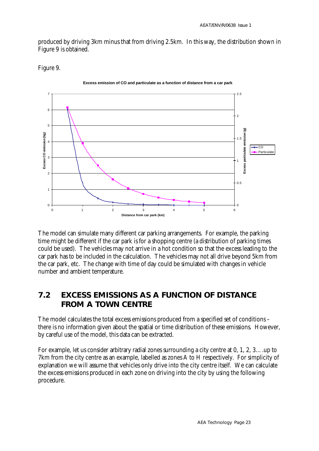produced by driving 3km minus that from driving 2.5km. In this way, the distribution shown in Figure 9 is obtained.

Figure 9.



The model can simulate many different car parking arrangements. For example, the parking time might be different if the car park is for a shopping centre (a distribution of parking times could be used). The vehicles may not arrive in a hot condition so that the excess leading to the car park has to be included in the calculation. The vehicles may not all drive beyond 5km from the car park, etc. The change with time of day could be simulated with changes in vehicle number and ambient temperature.

### **7.2 EXCESS EMISSIONS AS A FUNCTION OF DISTANCE FROM A TOWN CENTRE**

The model calculates the total excess emissions produced from a specified set of conditions – there is no information given about the spatial or time distribution of these emissions. However, by careful use of the model, this data can be extracted.

For example, let us consider arbitrary radial zones surrounding a city centre at 0, 1, 2, 3….up to 7km from the city centre as an example, labelled as zones A to H respectively. For simplicity of explanation we will assume that vehicles only drive into the city centre itself. We can calculate the excess emissions produced in each zone on driving into the city by using the following procedure.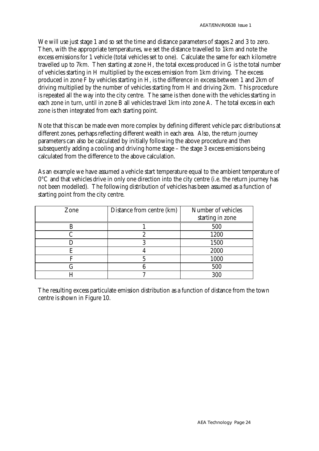We will use just stage 1 and so set the time and distance parameters of stages 2 and 3 to zero. Then, with the appropriate temperatures, we set the distance travelled to 1km and note the excess emissions for 1 vehicle (total vehicles set to one). Calculate the same for each kilometre travelled up to 7km. Then starting at zone H, the total excess produced in G is the total number of vehicles starting in H multiplied by the excess emission from 1km driving. The excess produced in zone F by vehicles starting in H, is the difference in excess between 1 and 2km of driving multiplied by the number of vehicles starting from H and driving 2km. This procedure is repeated all the way into the city centre. The same is then done with the vehicles starting in each zone in turn, until in zone B all vehicles travel 1km into zone A. The total excess in each zone is then integrated from each starting point.

Note that this can be made even more complex by defining different vehicle parc distributions at different zones, perhaps reflecting different wealth in each area. Also, the return journey parameters can also be calculated by initially following the above procedure and then subsequently adding a cooling and driving home stage – the stage 3 excess emissions being calculated from the difference to the above calculation.

As an example we have assumed a vehicle start temperature equal to the ambient temperature of 0°C and that vehicles drive in only one direction into the city centre (i.e. the return journey has not been modelled). The following distribution of vehicles has been assumed as a function of starting point from the city centre.

| Zone | Distance from centre (km) | Number of vehicles |
|------|---------------------------|--------------------|
|      |                           | starting in zone   |
|      |                           | 500                |
|      |                           | 1200               |
|      |                           | 1500               |
| E    |                           | 2000               |
|      |                           | 1000               |
|      |                           | 500                |
|      |                           | 300                |

The resulting excess particulate emission distribution as a function of distance from the town centre is shown in Figure 10.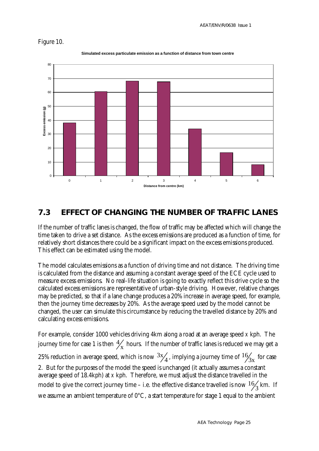



**Simulated excess particulate emission as a function of distance from town centre**

#### **7.3 EFFECT OF CHANGING THE NUMBER OF TRAFFIC LANES**

If the number of traffic lanes is changed, the flow of traffic may be affected which will change the time taken to drive a set distance. As the excess emissions are produced as a function of time, for relatively short distances there could be a significant impact on the excess emissions produced. This effect can be estimated using the model.

The model calculates emissions as a function of driving time and not distance. The driving time is calculated from the distance and assuming a constant average speed of the ECE cycle used to measure excess emissions. No real-life situation is going to exactly reflect this drive cycle so the calculated excess emissions are representative of urban-style driving. However, relative changes may be predicted, so that if a lane change produces a 20% increase in average speed, for example, then the journey time decreases by 20%. As the average speed used by the model cannot be changed, the user can simulate this circumstance by reducing the travelled distance by 20% and calculating excess emissions.

For example, consider 1000 vehicles driving 4km along a road at an average speed *x* kph. The journey time for case 1 is then  $\frac{4}{x}$  hours. If the number of traffic lanes is reduced we may get a 25% reduction in average speed, which is now  $\frac{3x}{4}$ , implying a journey time of  $\frac{16}{3x}$  for case 2. But for the purposes of the model the speed is unchanged (it actually assumes a constant average speed of 18.4kph) at *x* kph. Therefore, we must adjust the distance travelled in the model to give the correct journey time – i.e. the effective distance travelled is now  $\frac{16}{3}$  km. If we assume an ambient temperature of  $0^{\circ}$ C, a start temperature for stage 1 equal to the ambient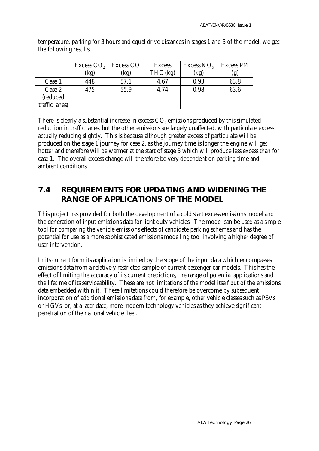|                | Excess $CO2$<br>(kg) | <b>Excess CO</b><br>(kg) | <b>Excess</b><br>$THC$ (kg) | Excess $NO_{x}$<br>(kg | <b>Excess PM</b> |
|----------------|----------------------|--------------------------|-----------------------------|------------------------|------------------|
| Case 1         | 448                  | 57.1                     | 4.67                        | 0.93                   | 63.8             |
| Case 2         | 475                  | 55.9                     | 4.74                        | 0.98                   | 63.6             |
| (reduced       |                      |                          |                             |                        |                  |
| traffic lanes) |                      |                          |                             |                        |                  |

temperature, parking for 3 hours and equal drive distances in stages 1 and 3 of the model, we get the following results.

There is clearly a substantial increase in excess  $\mathrm{CO}_2$  emissions produced by this simulated reduction in traffic lanes, but the other emissions are largely unaffected, with particulate excess actually reducing slightly. This is because although greater excess of particulate will be produced on the stage 1 journey for case 2, as the journey time is longer the engine will get hotter and therefore will be warmer at the start of stage 3 which will produce less excess than for case 1. The overall excess change will therefore be very dependent on parking time and ambient conditions.

### **7.4 REQUIREMENTS FOR UPDATING AND WIDENING THE RANGE OF APPLICATIONS OF THE MODEL**

This project has provided for both the development of a cold start excess emissions model and the generation of input emissions data for light duty vehicles. The model can be used as a simple tool for comparing the vehicle emissions effects of candidate parking schemes and has the potential for use as a more sophisticated emissions modelling tool involving a higher degree of user intervention.

In its current form its application is limited by the scope of the input data which encompasses emissions data from a relatively restricted sample of current passenger car models. This has the effect of limiting the accuracy of its current predictions, the range of potential applications and the lifetime of its serviceability. These are not limitations of the model itself but of the emissions data embedded within it. These limitations could therefore be overcome by subsequent incorporation of additional emissions data from, for example, other vehicle classes such as PSVs or HGVs, or, at a later date, more modern technology vehicles as they achieve significant penetration of the national vehicle fleet.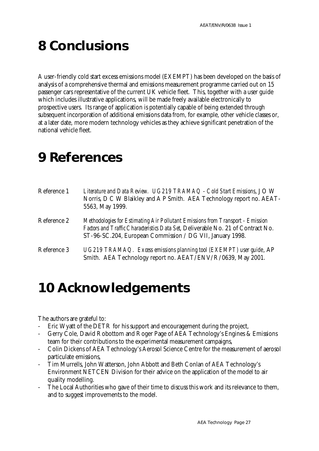# **8 Conclusions**

A user-friendly cold start excess emissions model (EXEMPT) has been developed on the basis of analysis of a comprehensive thermal and emissions measurement programme carried out on 15 passenger cars representative of the current UK vehicle fleet. This, together with a user guide which includes illustrative applications, will be made freely available electronically to prospective users. Its range of application is potentially capable of being extended through subsequent incorporation of additional emissions data from, for example, other vehicle classes or, at a later date, more modern technology vehicles as they achieve significant penetration of the national vehicle fleet.

## **9 References**

| Reference 1 | Literature and Data Review. UG219 TRAMAQ - Cold Start Emissions, J O W<br>Norris, D C W Blaikley and A P Smith. AEA Technology report no. AEAT-<br>5563, May 1999.                                                              |
|-------------|---------------------------------------------------------------------------------------------------------------------------------------------------------------------------------------------------------------------------------|
| Reference 2 | Methodologies for Estimating Air Pollutant Emissions from Transport - Emission<br>Factors and Traffic Characteristics Data Set, Deliverable No. 21 of Contract No.<br>ST-96-SC.204, European Commission / DG VII, January 1998. |
| Reference 3 | UG219 TRAMAQ. Excess emissions planning tool (EXEMPT) user guide, AP<br>Smith. AEA Technology report no. AEAT/ENV/R/0639, May 2001.                                                                                             |

### **10 Acknowledgements**

The authors are grateful to:

- Eric Wyatt of the DETR for his support and encouragement during the project,
- Gerry Cole, David Robottom and Roger Page of AEA Technology's Engines & Emissions team for their contributions to the experimental measurement campaigns,
- Colin Dickens of AEA Technology's Aerosol Science Centre for the measurement of aerosol particulate emissions,
- Tim Murrells, John Watterson, John Abbott and Beth Conlan of AEA Technology's Environment NETCEN Division for their advice on the application of the model to air quality modelling.
- The Local Authorities who gave of their time to discuss this work and its relevance to them, and to suggest improvements to the model.